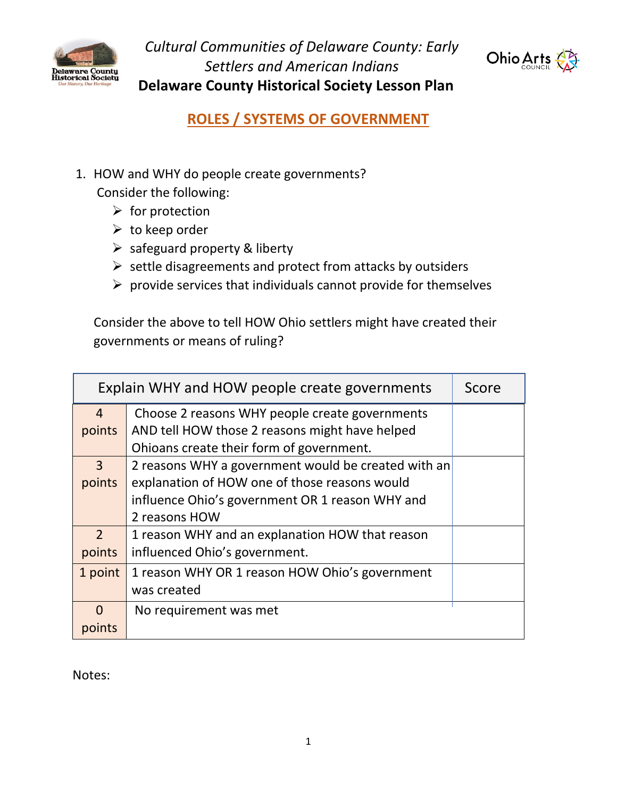

*Cultural Communities of Delaware County: Early Settlers and American Indians*  **Delaware County Historical Society Lesson Plan**



**ROLES / SYSTEMS OF GOVERNMENT**

1. HOW and WHY do people create governments?

Consider the following:

- $\triangleright$  for protection
- $\triangleright$  to keep order
- ➢ safeguard property & liberty
- $\triangleright$  settle disagreements and protect from attacks by outsiders
- $\triangleright$  provide services that individuals cannot provide for themselves

Consider the above to tell HOW Ohio settlers might have created their governments or means of ruling?

| Explain WHY and HOW people create governments |                                                     | Score |
|-----------------------------------------------|-----------------------------------------------------|-------|
| $\overline{4}$                                | Choose 2 reasons WHY people create governments      |       |
| points                                        | AND tell HOW those 2 reasons might have helped      |       |
|                                               | Ohioans create their form of government.            |       |
| 3                                             | 2 reasons WHY a government would be created with an |       |
| points                                        | explanation of HOW one of those reasons would       |       |
|                                               | influence Ohio's government OR 1 reason WHY and     |       |
|                                               | 2 reasons HOW                                       |       |
| $\mathcal{P}$                                 | 1 reason WHY and an explanation HOW that reason     |       |
| points                                        | influenced Ohio's government.                       |       |
| 1 point                                       | 1 reason WHY OR 1 reason HOW Ohio's government      |       |
|                                               | was created                                         |       |
| O                                             | No requirement was met                              |       |
| points                                        |                                                     |       |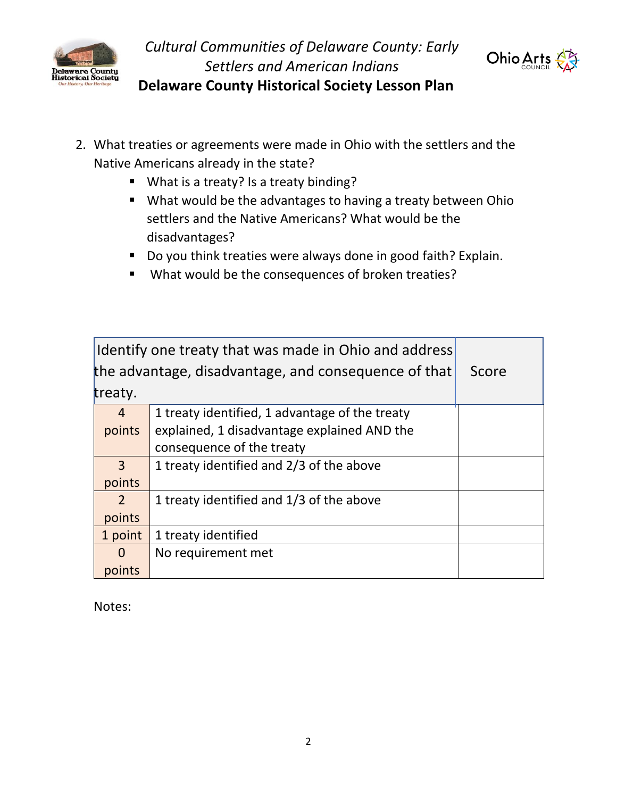



 **Delaware County Historical Society Lesson Plan**

- 2. What treaties or agreements were made in Ohio with the settlers and the Native Americans already in the state?
	- What is a treaty? Is a treaty binding?
	- What would be the advantages to having a treaty between Ohio settlers and the Native Americans? What would be the disadvantages?
	- Do you think treaties were always done in good faith? Explain.
	- What would be the consequences of broken treaties?

| Identify one treaty that was made in Ohio and address |                                                |       |
|-------------------------------------------------------|------------------------------------------------|-------|
| the advantage, disadvantage, and consequence of that  |                                                | Score |
| treaty.                                               |                                                |       |
| $\overline{4}$                                        | 1 treaty identified, 1 advantage of the treaty |       |
| points                                                | explained, 1 disadvantage explained AND the    |       |
|                                                       | consequence of the treaty                      |       |
| $\overline{3}$                                        | 1 treaty identified and 2/3 of the above       |       |
| points                                                |                                                |       |
| $\overline{2}$                                        | 1 treaty identified and 1/3 of the above       |       |
| points                                                |                                                |       |
| 1 point                                               | 1 treaty identified                            |       |
| $\overline{0}$                                        | No requirement met                             |       |
| points                                                |                                                |       |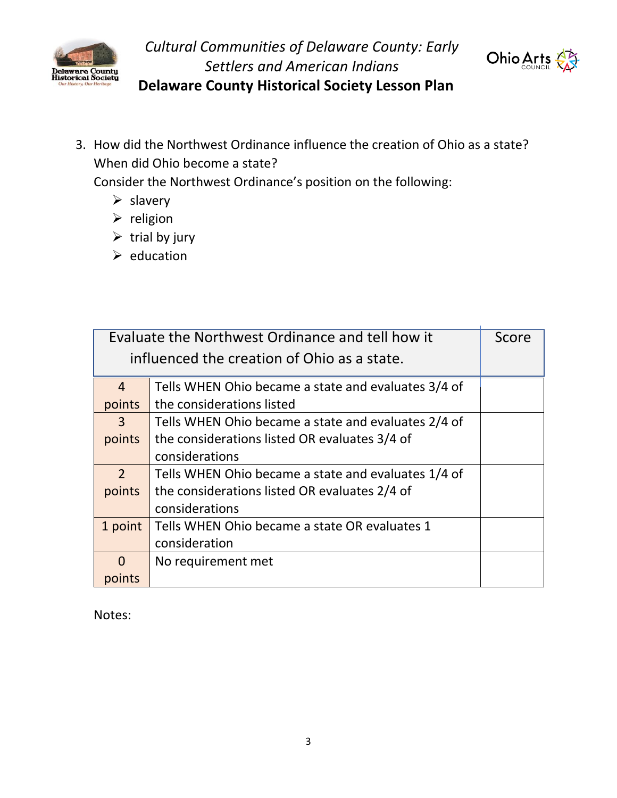

*Cultural Communities of Delaware County: Early Settlers and American Indians*



 **Delaware County Historical Society Lesson Plan**

3. How did the Northwest Ordinance influence the creation of Ohio as a state? When did Ohio become a state?

Consider the Northwest Ordinance's position on the following:

- ➢ slavery
- ➢ religion
- $\triangleright$  trial by jury
- ➢ education

| Evaluate the Northwest Ordinance and tell how it |                                                     | Score |
|--------------------------------------------------|-----------------------------------------------------|-------|
| influenced the creation of Ohio as a state.      |                                                     |       |
| $\overline{4}$                                   | Tells WHEN Ohio became a state and evaluates 3/4 of |       |
| points                                           | the considerations listed                           |       |
| $\mathbf{3}$                                     | Tells WHEN Ohio became a state and evaluates 2/4 of |       |
| points                                           | the considerations listed OR evaluates 3/4 of       |       |
|                                                  | considerations                                      |       |
| $\overline{2}$                                   | Tells WHEN Ohio became a state and evaluates 1/4 of |       |
| points                                           | the considerations listed OR evaluates 2/4 of       |       |
|                                                  | considerations                                      |       |
| 1 point                                          | Tells WHEN Ohio became a state OR evaluates 1       |       |
|                                                  | consideration                                       |       |
| $\Omega$                                         | No requirement met                                  |       |
| points                                           |                                                     |       |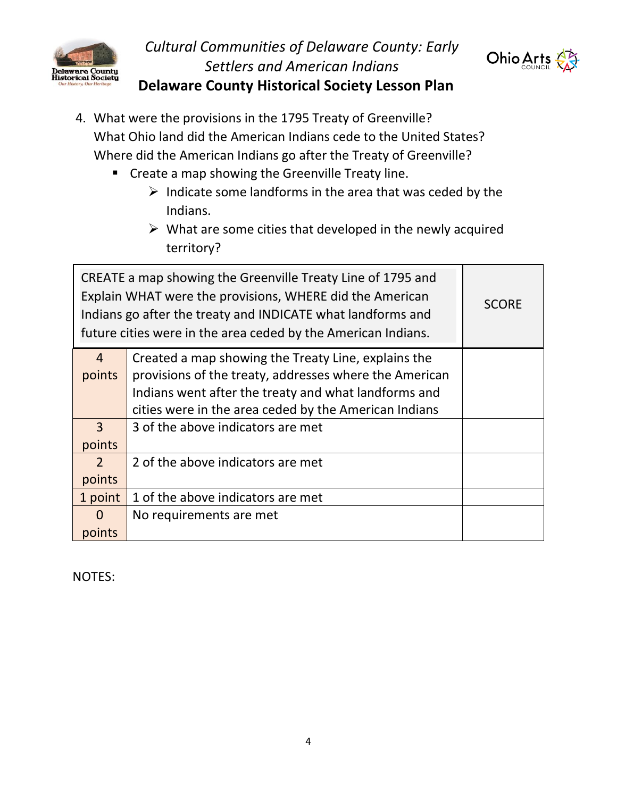

## *Cultural Communities of Delaware County: Early Settlers and American Indians*  **Delaware County Historical Society Lesson Plan**



- 4. What were the provisions in the 1795 Treaty of Greenville? What Ohio land did the American Indians cede to the United States? Where did the American Indians go after the Treaty of Greenville?
	- Create a map showing the Greenville Treaty line.
		- $\triangleright$  Indicate some landforms in the area that was ceded by the Indians.
		- $\triangleright$  What are some cities that developed in the newly acquired territory?

| CREATE a map showing the Greenville Treaty Line of 1795 and<br>Explain WHAT were the provisions, WHERE did the American<br>Indians go after the treaty and INDICATE what landforms and<br>future cities were in the area ceded by the American Indians. |                                                        | <b>SCORE</b> |
|---------------------------------------------------------------------------------------------------------------------------------------------------------------------------------------------------------------------------------------------------------|--------------------------------------------------------|--------------|
| $\overline{4}$                                                                                                                                                                                                                                          | Created a map showing the Treaty Line, explains the    |              |
| points                                                                                                                                                                                                                                                  | provisions of the treaty, addresses where the American |              |
|                                                                                                                                                                                                                                                         | Indians went after the treaty and what landforms and   |              |
|                                                                                                                                                                                                                                                         | cities were in the area ceded by the American Indians  |              |
| $\overline{3}$                                                                                                                                                                                                                                          | 3 of the above indicators are met                      |              |
| points                                                                                                                                                                                                                                                  |                                                        |              |
| $\overline{2}$                                                                                                                                                                                                                                          | 2 of the above indicators are met                      |              |
| points                                                                                                                                                                                                                                                  |                                                        |              |
| 1 point                                                                                                                                                                                                                                                 | 1 of the above indicators are met                      |              |
| $\Omega$                                                                                                                                                                                                                                                | No requirements are met                                |              |
| points                                                                                                                                                                                                                                                  |                                                        |              |

NOTES: